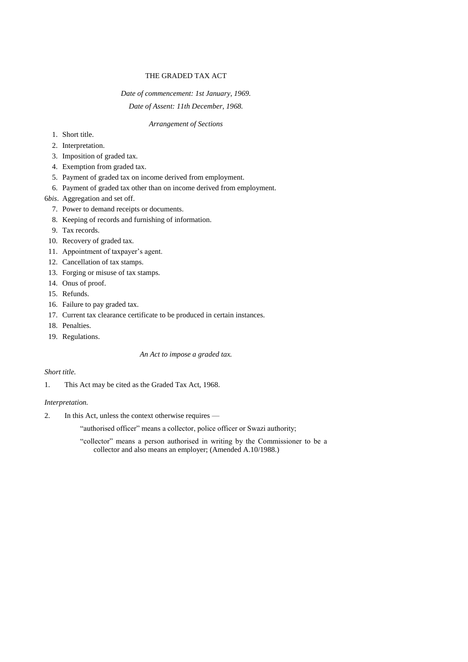# THE GRADED TAX ACT

# *Date of commencement: 1st January, 1969. Date of Assent: 11th December, 1968.*

# *Arrangement of Sections*

- 1. Short title.
- 2. Interpretation.
- 3. Imposition of graded tax.
- 4. Exemption from graded tax.
- 5. Payment of graded tax on income derived from employment.
- 6. Payment of graded tax other than on income derived from employment.
- 6*bis*. Aggregation and set off.
	- 7. Power to demand receipts or documents.
	- 8. Keeping of records and furnishing of information.
	- 9. Tax records.
- 10. Recovery of graded tax.
- 11. Appointment of taxpayer's agent.
- 12. Cancellation of tax stamps.
- 13. Forging or misuse of tax stamps.
- 14. Onus of proof.
- 15. Refunds.
- 16. Failure to pay graded tax.
- 17. Current tax clearance certificate to be produced in certain instances.
- 18. Penalties.
- 19. Regulations.

## *An Act to impose a graded tax.*

### *Short title.*

1. This Act may be cited as the Graded Tax Act, 1968.

### *Interpretation.*

2. In this Act, unless the context otherwise requires —

"authorised officer" means a collector, police officer or Swazi authority;

"collector" means a person authorised in writing by the Commissioner to be a collector and also means an employer; (Amended A.10/1988.)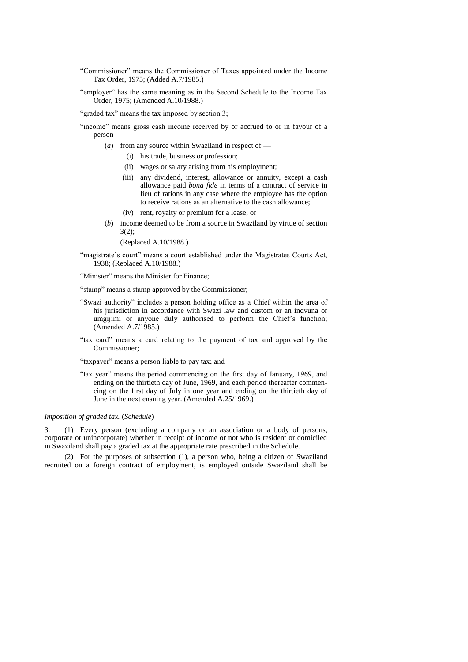- "Commissioner" means the Commissioner of Taxes appointed under the Income Tax Order, 1975; (Added A.7/1985.)
- "employer" has the same meaning as in the Second Schedule to the Income Tax Order, 1975; (Amended A.10/1988.)

"graded tax" means the tax imposed by section 3;

- "income" means gross cash income received by or accrued to or in favour of a person —
	- (*a*) from any source within Swaziland in respect of
		- (i) his trade, business or profession;
		- (ii) wages or salary arising from his employment;
		- (iii) any dividend, interest, allowance or annuity, except a cash allowance paid *bona fide* in terms of a contract of service in lieu of rations in any case where the employee has the option to receive rations as an alternative to the cash allowance;
		- (iv) rent, royalty or premium for a lease; or
	- (*b*) income deemed to be from a source in Swaziland by virtue of section 3(2);

(Replaced A.10/1988.)

"magistrate's court" means a court established under the Magistrates Courts Act, 1938; (Replaced A.10/1988.)

"Minister" means the Minister for Finance;

"stamp" means a stamp approved by the Commissioner;

- "Swazi authority" includes a person holding office as a Chief within the area of his jurisdiction in accordance with Swazi law and custom or an indvuna or umgijimi or anyone duly authorised to perform the Chief's function; (Amended A.7/1985.)
- "tax card" means a card relating to the payment of tax and approved by the Commissioner;

"taxpayer" means a person liable to pay tax; and

"tax year" means the period commencing on the first day of January, 1969, and ending on the thirtieth day of June, 1969, and each period thereafter commencing on the first day of July in one year and ending on the thirtieth day of June in the next ensuing year. (Amended A.25/1969.)

#### *Imposition of graded tax.* (*Schedule*)

3. (1) Every person (excluding a company or an association or a body of persons, corporate or unincorporate) whether in receipt of income or not who is resident or domiciled in Swaziland shall pay a graded tax at the appropriate rate prescribed in the Schedule.

(2) For the purposes of subsection (1), a person who, being a citizen of Swaziland recruited on a foreign contract of employment, is employed outside Swaziland shall be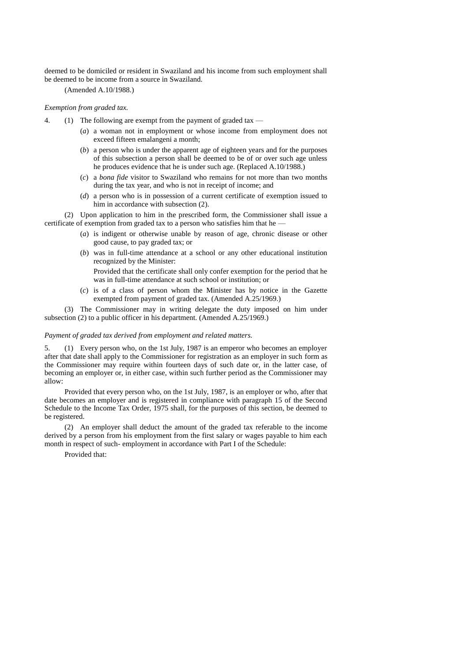deemed to be domiciled or resident in Swaziland and his income from such employment shall be deemed to be income from a source in Swaziland.

(Amended A.10/1988.)

# *Exemption from graded tax.*

- 4. (1) The following are exempt from the payment of graded tax
	- (*a*) a woman not in employment or whose income from employment does not exceed fifteen emalangeni a month;
	- (*b*) a person who is under the apparent age of eighteen years and for the purposes of this subsection a person shall be deemed to be of or over such age unless he produces evidence that he is under such age. (Replaced A.10/1988.)
	- (*c*) a *bona fide* visitor to Swaziland who remains for not more than two months during the tax year, and who is not in receipt of income; and
	- (*d*) a person who is in possession of a current certificate of exemption issued to him in accordance with subsection (2).

(2) Upon application to him in the prescribed form, the Commissioner shall issue a certificate of exemption from graded tax to a person who satisfies him that he -

- (*a*) is indigent or otherwise unable by reason of age, chronic disease or other good cause, to pay graded tax; or
- (*b*) was in full-time attendance at a school or any other educational institution recognized by the Minister:

Provided that the certificate shall only confer exemption for the period that he was in full-time attendance at such school or institution; or

(*c*) is of a class of person whom the Minister has by notice in the Gazette exempted from payment of graded tax. (Amended A.25/1969.)

(3) The Commissioner may in writing delegate the duty imposed on him under subsection (2) to a public officer in his department. (Amended A.25/1969.)

#### *Payment of graded tax derived from employment and related matters.*

5. (1) Every person who, on the 1st July, 1987 is an emperor who becomes an employer after that date shall apply to the Commissioner for registration as an employer in such form as the Commissioner may require within fourteen days of such date or, in the latter case, of becoming an employer or, in either case, within such further period as the Commissioner may allow:

Provided that every person who, on the 1st July, 1987, is an employer or who, after that date becomes an employer and is registered in compliance with paragraph 15 of the Second Schedule to the Income Tax Order, 1975 shall, for the purposes of this section, be deemed to be registered.

(2) An employer shall deduct the amount of the graded tax referable to the income derived by a person from his employment from the first salary or wages payable to him each month in respect of such- employment in accordance with Part I of the Schedule:

Provided that: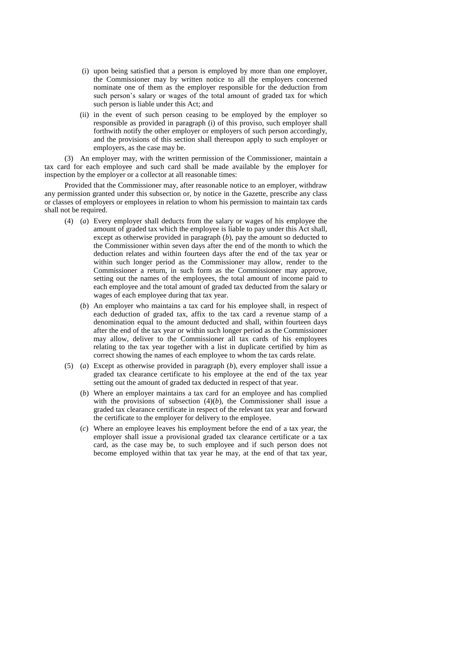- (i) upon being satisfied that a person is employed by more than one employer, the Commissioner may by written notice to all the employers concerned nominate one of them as the employer responsible for the deduction from such person's salary or wages of the total amount of graded tax for which such person is liable under this Act; and
- (ii) in the event of such person ceasing to be employed by the employer so responsible as provided in paragraph (i) of this proviso, such employer shall forthwith notify the other employer or employers of such person accordingly, and the provisions of this section shall thereupon apply to such employer or employers, as the case may be.

(3) An employer may, with the written permission of the Commissioner, maintain a tax card for each employee and such card shall be made available by the employer for inspection by the employer or a collector at all reasonable times:

Provided that the Commissioner may, after reasonable notice to an employer, withdraw any permission granted under this subsection or, by notice in the Gazette, prescribe any class or classes of employers or employees in relation to whom his permission to maintain tax cards shall not be required.

- (4) (*a*) Every employer shall deducts from the salary or wages of his employee the amount of graded tax which the employee is liable to pay under this Act shall, except as otherwise provided in paragraph (*b*), pay the amount so deducted to the Commissioner within seven days after the end of the month to which the deduction relates and within fourteen days after the end of the tax year or within such longer period as the Commissioner may allow, render to the Commissioner a return, in such form as the Commissioner may approve, setting out the names of the employees, the total amount of income paid to each employee and the total amount of graded tax deducted from the salary or wages of each employee during that tax year.
	- (*b*) An employer who maintains a tax card for his employee shall, in respect of each deduction of graded tax, affix to the tax card a revenue stamp of a denomination equal to the amount deducted and shall, within fourteen days after the end of the tax year or within such longer period as the Commissioner may allow, deliver to the Commissioner all tax cards of his employees relating to the tax year together with a list in duplicate certified by him as correct showing the names of each employee to whom the tax cards relate.
- (5) (*a*) Except as otherwise provided in paragraph (*b*), every employer shall issue a graded tax clearance certificate to his employee at the end of the tax year setting out the amount of graded tax deducted in respect of that year.
	- (*b*) Where an employer maintains a tax card for an employee and has complied with the provisions of subsection  $(4)(b)$ , the Commissioner shall issue a graded tax clearance certificate in respect of the relevant tax year and forward the certificate to the employer for delivery to the employee.
	- (*c*) Where an employee leaves his employment before the end of a tax year, the employer shall issue a provisional graded tax clearance certificate or a tax card, as the case may be, to such employee and if such person does not become employed within that tax year he may, at the end of that tax year,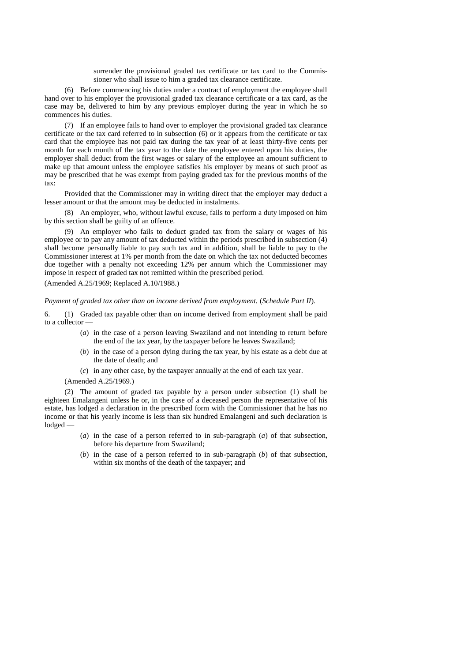surrender the provisional graded tax certificate or tax card to the Commissioner who shall issue to him a graded tax clearance certificate.

(6) Before commencing his duties under a contract of employment the employee shall hand over to his employer the provisional graded tax clearance certificate or a tax card, as the case may be, delivered to him by any previous employer during the year in which he so commences his duties.

(7) If an employee fails to hand over to employer the provisional graded tax clearance certificate or the tax card referred to in subsection (6) or it appears from the certificate or tax card that the employee has not paid tax during the tax year of at least thirty-five cents per month for each month of the tax year to the date the employee entered upon his duties, the employer shall deduct from the first wages or salary of the employee an amount sufficient to make up that amount unless the employee satisfies his employer by means of such proof as may be prescribed that he was exempt from paying graded tax for the previous months of the tax:

Provided that the Commissioner may in writing direct that the employer may deduct a lesser amount or that the amount may be deducted in instalments.

(8) An employer, who, without lawful excuse, fails to perform a duty imposed on him by this section shall be guilty of an offence.

(9) An employer who fails to deduct graded tax from the salary or wages of his employee or to pay any amount of tax deducted within the periods prescribed in subsection (4) shall become personally liable to pay such tax and in addition, shall be liable to pay to the Commissioner interest at 1% per month from the date on which the tax not deducted becomes due together with a penalty not exceeding 12% per annum which the Commissioner may impose in respect of graded tax not remitted within the prescribed period.

(Amended A.25/1969; Replaced A.10/1988.)

*Payment of graded tax other than on income derived from employment.* (*Schedule Part II*)*.*

6. (1) Graded tax payable other than on income derived from employment shall be paid to a collector —

- (*a*) in the case of a person leaving Swaziland and not intending to return before the end of the tax year, by the taxpayer before he leaves Swaziland;
- (*b*) in the case of a person dying during the tax year, by his estate as a debt due at the date of death; and
- (*c*) in any other case, by the taxpayer annually at the end of each tax year.

(Amended A.25/1969.)

(2) The amount of graded tax payable by a person under subsection (1) shall be eighteen Emalangeni unless he or, in the case of a deceased person the representative of his estate, has lodged a declaration in the prescribed form with the Commissioner that he has no income or that his yearly income is less than six hundred Emalangeni and such declaration is lodged —

- (*a*) in the case of a person referred to in sub-paragraph (*a*) of that subsection, before his departure from Swaziland;
- (*b*) in the case of a person referred to in sub-paragraph (*b*) of that subsection, within six months of the death of the taxpayer; and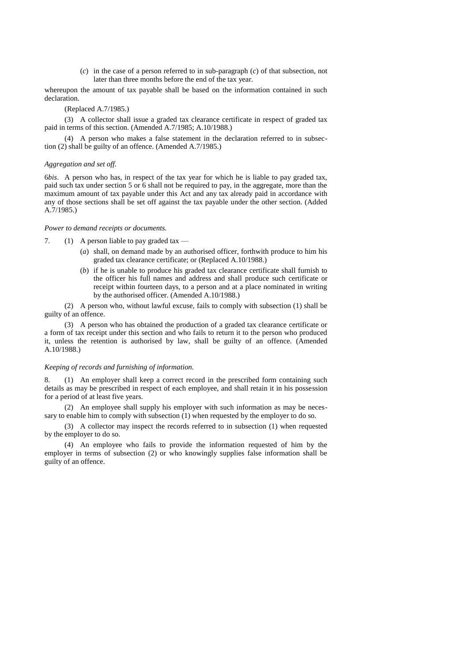(*c*) in the case of a person referred to in sub-paragraph (*c*) of that subsection, not later than three months before the end of the tax year.

whereupon the amount of tax payable shall be based on the information contained in such declaration.

# (Replaced A.7/1985.)

(3) A collector shall issue a graded tax clearance certificate in respect of graded tax paid in terms of this section. (Amended A.7/1985; A.10/1988.)

(4) A person who makes a false statement in the declaration referred to in subsection (2) shall be guilty of an offence. (Amended A.7/1985.)

#### *Aggregation and set off.*

6*bis*. A person who has, in respect of the tax year for which he is liable to pay graded tax, paid such tax under section 5 or 6 shall not be required to pay, in the aggregate, more than the maximum amount of tax payable under this Act and any tax already paid in accordance with any of those sections shall be set off against the tax payable under the other section. (Added A.7/1985.)

#### *Power to demand receipts or documents.*

7. (1) A person liable to pay graded tax  $-$ 

- (*a*) shall, on demand made by an authorised officer, forthwith produce to him his graded tax clearance certificate; or (Replaced A.10/1988.)
- (*b*) if he is unable to produce his graded tax clearance certificate shall furnish to the officer his full names and address and shall produce such certificate or receipt within fourteen days, to a person and at a place nominated in writing by the authorised officer. (Amended A.10/1988.)

(2) A person who, without lawful excuse, fails to comply with subsection (1) shall be guilty of an offence.

(3) A person who has obtained the production of a graded tax clearance certificate or a form of tax receipt under this section and who fails to return it to the person who produced it, unless the retention is authorised by law, shall be guilty of an offence. (Amended A.10/1988.)

#### *Keeping of records and furnishing of information.*

8. (1) An employer shall keep a correct record in the prescribed form containing such details as may be prescribed in respect of each employee, and shall retain it in his possession for a period of at least five years.

(2) An employee shall supply his employer with such information as may be necessary to enable him to comply with subsection (1) when requested by the employer to do so.

(3) A collector may inspect the records referred to in subsection (1) when requested by the employer to do so.

(4) An employee who fails to provide the information requested of him by the employer in terms of subsection (2) or who knowingly supplies false information shall be guilty of an offence.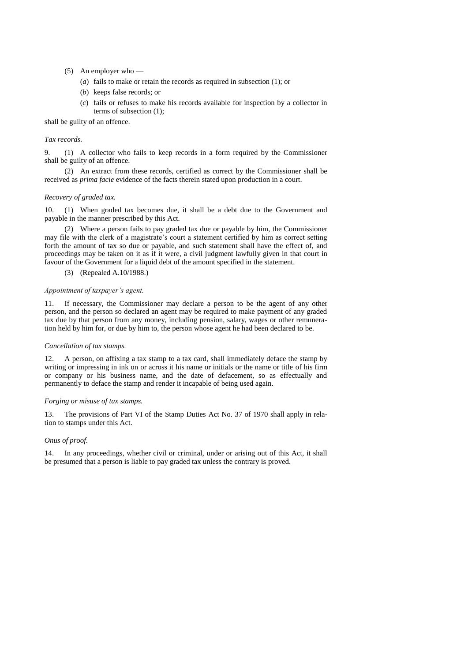- (5) An employer who
	- (*a*) fails to make or retain the records as required in subsection (1); or
	- (*b*) keeps false records; or
	- (*c*) fails or refuses to make his records available for inspection by a collector in terms of subsection (1);

shall be guilty of an offence.

### *Tax records.*

9. (1) A collector who fails to keep records in a form required by the Commissioner shall be guilty of an offence.

(2) An extract from these records, certified as correct by the Commissioner shall be received as *prima facie* evidence of the facts therein stated upon production in a court.

#### *Recovery of graded tax.*

10. (1) When graded tax becomes due, it shall be a debt due to the Government and payable in the manner prescribed by this Act.

(2) Where a person fails to pay graded tax due or payable by him, the Commissioner may file with the clerk of a magistrate's court a statement certified by him as correct setting forth the amount of tax so due or payable, and such statement shall have the effect of, and proceedings may be taken on it as if it were, a civil judgment lawfully given in that court in favour of the Government for a liquid debt of the amount specified in the statement.

(3) (Repealed A.10/1988.)

#### *Appointment of taxpayer's agent.*

11. If necessary, the Commissioner may declare a person to be the agent of any other person, and the person so declared an agent may be required to make payment of any graded tax due by that person from any money, including pension, salary, wages or other remuneration held by him for, or due by him to, the person whose agent he had been declared to be.

#### *Cancellation of tax stamps.*

12. A person, on affixing a tax stamp to a tax card, shall immediately deface the stamp by writing or impressing in ink on or across it his name or initials or the name or title of his firm or company or his business name, and the date of defacement, so as effectually and permanently to deface the stamp and render it incapable of being used again.

#### *Forging or misuse of tax stamps.*

13. The provisions of Part VI of the Stamp Duties Act No. 37 of 1970 shall apply in relation to stamps under this Act.

#### *Onus of proof.*

14. In any proceedings, whether civil or criminal, under or arising out of this Act, it shall be presumed that a person is liable to pay graded tax unless the contrary is proved.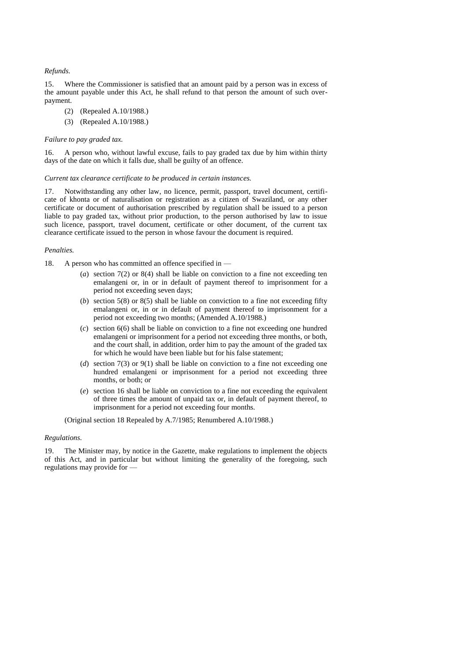#### *Refunds.*

15. Where the Commissioner is satisfied that an amount paid by a person was in excess of the amount payable under this Act, he shall refund to that person the amount of such overpayment.

- (2) (Repealed A.10/1988.)
- (3) (Repealed A.10/1988.)

#### *Failure to pay graded tax.*

16. A person who, without lawful excuse, fails to pay graded tax due by him within thirty days of the date on which it falls due, shall be guilty of an offence.

#### *Current tax clearance certificate to be produced in certain instances.*

17. Notwithstanding any other law, no licence, permit, passport, travel document, certificate of khonta or of naturalisation or registration as a citizen of Swaziland, or any other certificate or document of authorisation prescribed by regulation shall be issued to a person liable to pay graded tax, without prior production, to the person authorised by law to issue such licence, passport, travel document, certificate or other document, of the current tax clearance certificate issued to the person in whose favour the document is required.

#### *Penalties.*

18. A person who has committed an offence specified in —

- (*a*) section 7(2) or 8(4) shall be liable on conviction to a fine not exceeding ten emalangeni or, in or in default of payment thereof to imprisonment for a period not exceeding seven days;
- (*b*) section 5(8) or 8(5) shall be liable on conviction to a fine not exceeding fifty emalangeni or, in or in default of payment thereof to imprisonment for a period not exceeding two months; (Amended A.10/1988.)
- (*c*) section 6(6) shall be liable on conviction to a fine not exceeding one hundred emalangeni or imprisonment for a period not exceeding three months, or both, and the court shall, in addition, order him to pay the amount of the graded tax for which he would have been liable but for his false statement;
- (*d*) section 7(3) or 9(1) shall be liable on conviction to a fine not exceeding one hundred emalangeni or imprisonment for a period not exceeding three months, or both; or
- (*e*) section 16 shall be liable on conviction to a fine not exceeding the equivalent of three times the amount of unpaid tax or, in default of payment thereof, to imprisonment for a period not exceeding four months.

(Original section 18 Repealed by A.7/1985; Renumbered A.10/1988.)

#### *Regulations.*

19. The Minister may, by notice in the Gazette, make regulations to implement the objects of this Act, and in particular but without limiting the generality of the foregoing, such regulations may provide for —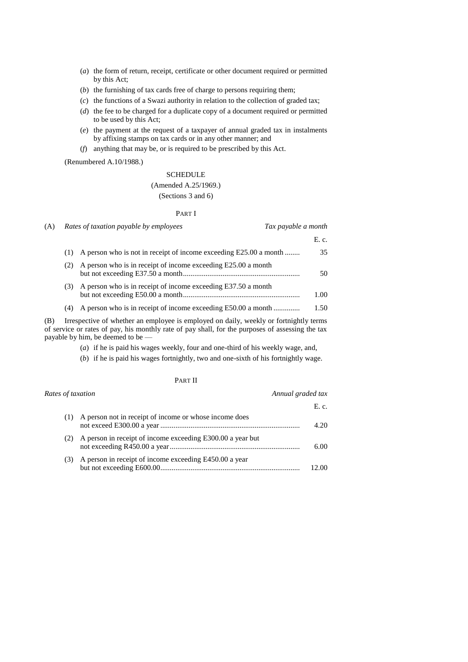- (*a*) the form of return, receipt, certificate or other document required or permitted by this Act;
- (*b*) the furnishing of tax cards free of charge to persons requiring them;
- (*c*) the functions of a Swazi authority in relation to the collection of graded tax;
- (*d*) the fee to be charged for a duplicate copy of a document required or permitted to be used by this Act;
- (*e*) the payment at the request of a taxpayer of annual graded tax in instalments by affixing stamps on tax cards or in any other manner; and
- (*f*) anything that may be, or is required to be prescribed by this Act.

(Renumbered A.10/1988.)

# **SCHEDULE**

# (Amended A.25/1969.)

# (Sections 3 and 6)

#### PART I

| (A) | Rates of taxation payable by employees |                                                                   | Tax payable a month |
|-----|----------------------------------------|-------------------------------------------------------------------|---------------------|
|     |                                        |                                                                   | E. c.               |
|     | (1)                                    | A person who is not in receipt of income exceeding E25.00 a month | 35                  |
|     | (2)                                    | A person who is in receipt of income exceeding E25.00 a month     | 50                  |
|     | (3)                                    | A person who is in receipt of income exceeding E37.50 a month     | 1.00                |
|     | (4)                                    | A person who is in receipt of income exceeding E50.00 a month     | 1.50                |

(B) Irrespective of whether an employee is employed on daily, weekly or fortnightly terms of service or rates of pay, his monthly rate of pay shall, for the purposes of assessing the tax payable by him, be deemed to be —

- (*a*) if he is paid his wages weekly, four and one-third of his weekly wage, and,
- (*b*) if he is paid his wages fortnightly, two and one-sixth of his fortnightly wage.

## PART II

| Annual graded tax<br>Rates of taxation |                                                            |       |
|----------------------------------------|------------------------------------------------------------|-------|
|                                        |                                                            | E. c. |
| (1)                                    | A person not in receipt of income or whose income does     | 4.20  |
| (2)                                    | A person in receipt of income exceeding E300.00 a year but | 6.00  |
| (3)                                    | A person in receipt of income exceeding E450.00 a year     | 12.00 |